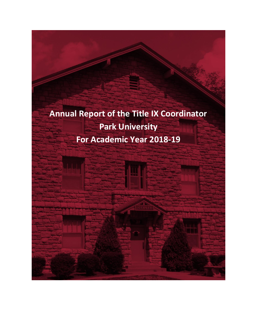**Annual Report of the Title IX Coordinator Park University For Academic Year 2018-19**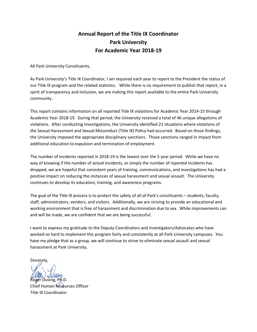## **Annual Report of the Title IX Coordinator Park University For Academic Year 2018-19**

All Park University Constituents,

As Park University's Title IX Coordinator, I am required each year to report to the President the status of our Title IX program and the related statistics. While there is no requirement to publish that report, in a spirit of transparency and inclusion, we are making this report available to the entire Park University community.

This report contains information on all reported Title IX violations for Academic Year 2014-15 through Academic Year 2018-19. During that period, the University received a total of 46 unique allegations of violations. After conducting investigations, the University identified 21 situations where violations of the Sexual Harassment and Sexual Misconduct (Title IX) Policy had occurred. Based on those findings, the University imposed the appropriate disciplinary sanctions. Those sanctions ranged in impact from additional education to expulsion and termination of employment.

The number of incidents reported in 2018-19 is the lowest over the 5 year period. While we have no way of knowing if the number of *actual* incidents, or simply the number of *reported* incidents has dropped, we are hopeful that consistent years of training, communications, and investigations has had a positive impact on reducing the instances of sexual harassment and sexual assault. The University continues to develop its education, training, and awareness programs.

The goal of the Title IX process is to protect the safety of all of Park's constituents – students, faculty, staff, administrators, vendors, and visitors. Additionally, we are striving to provide an educational and working environment that is free of harassment and discrimination due to sex. While improvements can and will be made, we are confident that we are being successful.

I want to express my gratitude to the Deputy Coordinators and Investigators/Advocates who have worked so hard to implement this program fairly and consistently at all Park University campuses. You have my pledge that as a group, we will continue to strive to eliminate sexual assault and sexual harassment at Park University.

Sincerely,

Roger Dusing, Ph.D.

Chief Human Resources Officer Title IX Coordinator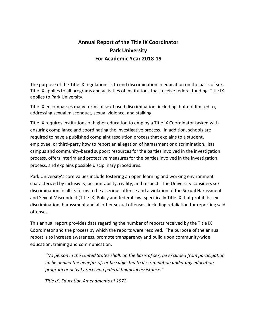# **Annual Report of the Title IX Coordinator Park University For Academic Year 2018-19**

The purpose of the Title IX regulations is to end discrimination in education on the basis of sex. Title IX applies to all programs and activities of institutions that receive federal funding. Title IX applies to Park University.

Title IX encompasses many forms of sex-based discrimination, including, but not limited to, addressing sexual misconduct, sexual violence, and stalking.

Title IX requires institutions of higher education to employ a Title IX Coordinator tasked with ensuring compliance and coordinating the investigative process. In addition, schools are required to have a published complaint resolution process that explains to a student, employee, or third-party how to report an allegation of harassment or discrimination, lists campus and community-based support resources for the parties involved in the investigation process, offers interim and protective measures for the parties involved in the investigation process, and explains possible disciplinary procedures.

Park University's core values include fostering an open learning and working environment characterized by inclusivity, accountability, civility, and respect. The University considers sex discrimination in all its forms to be a serious offence and a violation of the Sexual Harassment and Sexual Misconduct (Title IX) Policy and federal law, specifically Title IX that prohibits sex discrimination, harassment and all other sexual offenses, including retaliation for reporting said offenses.

This annual report provides data regarding the number of reports received by the Title IX Coordinator and the process by which the reports were resolved. The purpose of the annual report is to increase awareness, promote transparency and build upon community-wide education, training and communication.

*"No person in the United States shall, on the basis of sex, be excluded from participation in, be denied the benefits of, or be subjected to discrimination under any education program or activity receiving federal financial assistance."* 

 *Title IX, Education Amendments of 1972*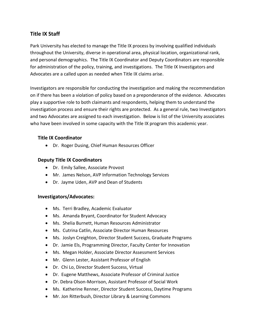### **Title IX Staff**

Park University has elected to manage the Title IX process by involving qualified individuals throughout the University, diverse in operational area, physical location, organizational rank, and personal demographics. The Title IX Coordinator and Deputy Coordinators are responsible for administration of the policy, training, and investigations. The Title IX Investigators and Advocates are a called upon as needed when Title IX claims arise.

Investigators are responsible for conducting the investigation and making the recommendation on if there has been a violation of policy based on a preponderance of the evidence. Advocates play a supportive role to both claimants and respondents, helping them to understand the investigation process and ensure their rights are protected. As a general rule, two Investigators and two Advocates are assigned to each investigation. Below is list of the University associates who have been involved in some capacity with the Title IX program this academic year.

### **Title IX Coordinator**

Dr. Roger Dusing, Chief Human Resources Officer

#### **Deputy Title IX Coordinators**

- Dr. Emily Sallee, Associate Provost
- Mr. James Nelson, AVP Information Technology Services
- Dr. Jayme Uden, AVP and Dean of Students

#### **Investigators/Advocates:**

- Ms. Terri Bradley, Academic Evaluator
- Ms. Amanda Bryant, Coordinator for Student Advocacy
- Ms. Shelia Burnett, Human Resources Administrator
- Ms. Cutrina Catlin, Associate Director Human Resources
- Ms. Joslyn Creighton, Director Student Success, Graduate Programs
- Dr. Jamie Els, Programming Director, Faculty Center for Innovation
- Ms. Megan Holder, Associate Director Assessment Services
- Mr. Glenn Lester, Assistant Professor of English
- Dr. Chi Lo, Director Student Success, Virtual
- Dr. Eugene Matthews, Associate Professor of Criminal Justice
- Dr. Debra Olson-Morrison, Assistant Professor of Social Work
- Ms. Katherine Renner, Director Student Success, Daytime Programs
- Mr. Jon Ritterbush, Director Library & Learning Commons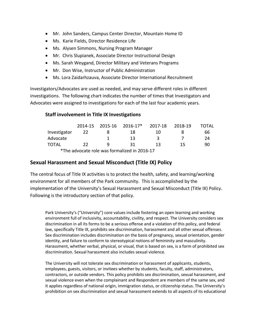- Mr. John Sanders, Campus Center Director, Mountain Home ID
- Ms. Karie Fields, Director Residence Life
- Ms. Alysen Simmons, Nursing Program Manager
- Mr. Chris Slupianek, Associate Director Instructional Design
- Ms. Sarah Weygand, Director Military and Veterans Programs
- Mr. Don Wise, Instructor of Public Administration
- Ms. Lora Zaidarhzauva, Associate Director International Recruitment

Investigators/Advocates are used as needed, and may serve different roles in different investigations. The following chart indicates the number of times that Investigators and Advocates were assigned to investigations for each of the last four academic years.

#### **Staff involvement in Title IX Investigations**

|              |    |   | 2014-15 2015-16 2016-17*                     | 2017-18 | 2018-19 | <b>TOTAL</b> |
|--------------|----|---|----------------------------------------------|---------|---------|--------------|
| Investigator | 22 |   | 18                                           | 10      |         | 66           |
| Advocate     |    |   | 13                                           | 3       |         | 24           |
| <b>TOTAL</b> | 22 | a | 31                                           | 13      | 15      | 90           |
|              |    |   | *The advocate role was formalized in 2016-17 |         |         |              |

### **Sexual Harassment and Sexual Misconduct (Title IX) Policy**

The central focus of Title IX activities is to protect the health, safety, and learning/working environment for all members of the Park community. This is accomplished by the implementation of the University's Sexual Harassment and Sexual Misconduct (Title IX) Policy. Following is the introductory section of that policy.

Park University's ("University") core values include fostering an open learning and working environment full of inclusivity, accountability, civility, and respect. The University considers sex discrimination in all its forms to be a serious offense and a violation of this policy, and federal law, specifically Title IX, prohibits sex discrimination, harassment and all other sexual offenses. Sex discrimination includes discrimination on the basis of pregnancy, sexual orientation, gender identity, and failure to conform to stereotypical notions of femininity and masculinity. Harassment, whether verbal, physical, or visual, that is based on sex, is a form of prohibited sex discrimination. Sexual harassment also includes sexual violence.

The University will not tolerate sex discrimination or harassment of applicants, students, employees, guests, visitors, or invitees whether by students, faculty, staff, administrators, contractors, or outside vendors. This policy prohibits sex discrimination, sexual harassment, and sexual violence even when the complainant and Respondent are members of the same sex, and it applies regardless of national origin, immigration status, or citizenship status. The University's prohibition on sex discrimination and sexual harassment extends to all aspects of its educational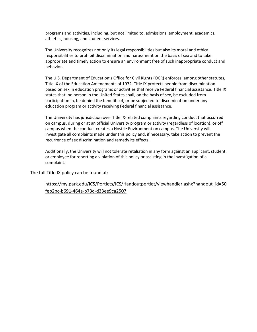programs and activities, including, but not limited to, admissions, employment, academics, athletics, housing, and student services.

The University recognizes not only its legal responsibilities but also its moral and ethical responsibilities to prohibit discrimination and harassment on the basis of sex and to take appropriate and timely action to ensure an environment free of such inappropriate conduct and behavior.

The U.S. Department of Education's Office for Civil Rights (OCR) enforces, among other statutes, Title IX of the Education Amendments of 1972. Title IX protects people from discrimination based on sex in education programs or activities that receive Federal financial assistance. Title IX states that: no person in the United States shall, on the basis of sex, be excluded from participation in, be denied the benefits of, or be subjected to discrimination under any education program or activity receiving Federal financial assistance.

The University has jurisdiction over Title IX-related complaints regarding conduct that occurred on campus, during or at an official University program or activity (regardless of location), or off campus when the conduct creates a Hostile Environment on campus. The University will investigate all complaints made under this policy and, if necessary, take action to prevent the recurrence of sex discrimination and remedy its effects.

Additionally, the University will not tolerate retaliation in any form against an applicant, student, or employee for reporting a violation of this policy or assisting in the investigation of a complaint.

The full Title IX policy can be found at:

https://my.park.edu/ICS/Portlets/ICS/Handoutportlet/viewhandler.ashx?handout\_id=50 feb2bc-b691-464a-b73d-d33ee9ca2507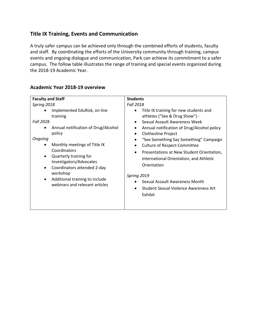### **Title IX Training, Events and Communication**

A truly safer campus can be achieved only through the combined efforts of students, faculty and staff. By coordinating the efforts of the University community through training, campus events and ongoing dialogue and communication, Park can achieve its commitment to a safer campus. The follow table illustrates the range of training and special events organized during the 2018-19 Academic Year.

| <b>Fall 2018</b><br>Spring 2018<br>Implemented EduRisk, on line<br>٠<br>training<br><b>Fall 2018</b>                                                                                                                                                                                                                                                                                                | Title IX training for new students and                                                                                                                                                                                                                                                                                                                                                                                    |
|-----------------------------------------------------------------------------------------------------------------------------------------------------------------------------------------------------------------------------------------------------------------------------------------------------------------------------------------------------------------------------------------------------|---------------------------------------------------------------------------------------------------------------------------------------------------------------------------------------------------------------------------------------------------------------------------------------------------------------------------------------------------------------------------------------------------------------------------|
| Annual notification of Drug/Alcohol<br>$\bullet$<br>policy<br>$\bullet$<br>Ongoing<br>Monthly meetings of Title IX<br>$\bullet$<br>$\bullet$<br>Coordinators<br>$\bullet$<br>Quarterly training for<br>$\bullet$<br>Investigators/Advocates<br>Coordinators attended 2-day<br>$\bullet$<br>workshop<br>Spring 2019<br>Additional training to include<br>$\bullet$<br>webinars and relevant articles | athletes ("Sex & Drug Show") -<br>Sexual Assault Awareness Week<br>Annual notification of Drug/Alcohol policy<br><b>Clothesline Project</b><br>"See Something Say Something" Campaign<br><b>Culture of Respect Committee</b><br>Presentations at New Student Orientation,<br>International Orientation, and Athletic<br>Orientation<br>Sexual Assault Awareness Month<br>Student Sexual Violence Awareness Art<br>Exhibit |

### **Academic Year 2018-19 overview**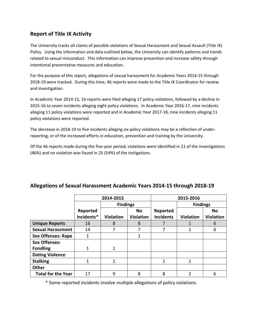### **Report of Title IX Activity**

The University tracks all claims of possible violations of Sexual Harassment and Sexual Assault (Title IX) Policy. Using the information and data outlined below, the University can identify patterns and trends related to sexual misconduct. This information can improve prevention and increase safety through intentional preventative measures and education.

For the purpose of this report, allegations of sexual harassment for Academic Years 2014-15 through 2018-19 were tracked. During this time, 46 reports were made to the Title IX Coordinator for review and investigation.

In Academic Year 2014-15, 16 reports were filed alleging 17 policy violations, followed by a decline in 2015-16 to seven incidents alleging eight policy violations. In Academic Year 2016-17, nine incidents alleging 11 policy violations were reported and in Academic Year 2017-18, nine incidents alleging 11 policy violations were reported.

The decrease in 2018-19 to five incidents alleging six policy violations may be a reflection of underreporting, or of the increased efforts in education, prevention and training by the University.

Of the 46 reports made during the five-year period, violations were identified in 21 of the investigations (46%) and no violation was found in 25 (54%) of the instigations.

|                           | 2014-2015  |                  |                  | 2015-2016        |                  |                  |  |
|---------------------------|------------|------------------|------------------|------------------|------------------|------------------|--|
|                           |            | <b>Findings</b>  |                  |                  | <b>Findings</b>  |                  |  |
|                           | Reported   |                  | <b>No</b>        | Reported         |                  | <b>No</b>        |  |
|                           | Incidents* | <b>Violation</b> | <b>Violation</b> | <b>Incidents</b> | <b>Violation</b> | <b>Violation</b> |  |
| <b>Unique Reports</b>     | 16         | 8                | 8                |                  |                  | 6                |  |
| <b>Sexual Harassment</b>  | 14         | 7                |                  |                  |                  | 6                |  |
| <b>Sex Offenses: Rape</b> | 1          |                  | 1                |                  |                  |                  |  |
| <b>Sex Offenses:</b>      |            |                  |                  |                  |                  |                  |  |
| <b>Fondling</b>           |            |                  |                  |                  |                  |                  |  |
| <b>Dating Violence</b>    |            |                  |                  |                  |                  |                  |  |
| <b>Stalking</b>           | 1          | 1                |                  | $\mathbf{1}$     | 1                |                  |  |
| <b>Other</b>              |            |                  |                  |                  |                  |                  |  |
| <b>Total for the Year</b> | 17         | 9                | 8                | 8                | っ                | 6                |  |

### **Allegations of Sexual Harassment Academic Years 2014-15 through 2018-19**

\* Some reported incidents involve multiple allegations of policy violations.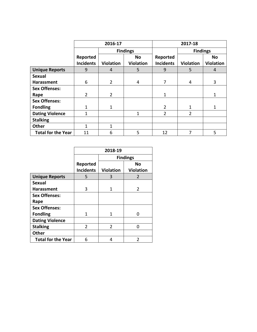|                           | 2016-17          |                  |                  | 2017-18          |                  |                  |  |
|---------------------------|------------------|------------------|------------------|------------------|------------------|------------------|--|
|                           |                  | <b>Findings</b>  |                  |                  | <b>Findings</b>  |                  |  |
|                           | Reported         |                  | No               | Reported         |                  | <b>No</b>        |  |
|                           | <b>Incidents</b> | <b>Violation</b> | <b>Violation</b> | <b>Incidents</b> | <b>Violation</b> | <b>Violation</b> |  |
| <b>Unique Reports</b>     | 9                | 4                | 5                | 9                | 5                | 4                |  |
| <b>Sexual</b>             |                  |                  |                  |                  |                  |                  |  |
| Harassment                | 6                | $\overline{2}$   | 4                | 7                | 4                | 3                |  |
| <b>Sex Offenses:</b>      |                  |                  |                  |                  |                  |                  |  |
| Rape                      | 2                | $\overline{2}$   |                  | 1                |                  |                  |  |
| <b>Sex Offenses:</b>      |                  |                  |                  |                  |                  |                  |  |
| <b>Fondling</b>           | 1                | $\mathbf{1}$     |                  | $\overline{2}$   | 1                | 1                |  |
| <b>Dating Violence</b>    |                  |                  | 1                | 2                | 2                |                  |  |
| <b>Stalking</b>           |                  |                  |                  |                  |                  |                  |  |
| <b>Other</b>              | 1                | 1                |                  |                  |                  |                  |  |
| <b>Total for the Year</b> | 11               | 6                | 5                | 12               | 7                | 5                |  |

|                           | 2018-19          |                  |                  |  |
|---------------------------|------------------|------------------|------------------|--|
|                           |                  | <b>Findings</b>  |                  |  |
|                           | Reported         |                  | No               |  |
|                           | <b>Incidents</b> | <b>Violation</b> | <b>Violation</b> |  |
| <b>Unique Reports</b>     | 5                | 3                | 2                |  |
| <b>Sexual</b>             |                  |                  |                  |  |
| <b>Harassment</b>         | 3                | 1                | 2                |  |
| <b>Sex Offenses:</b>      |                  |                  |                  |  |
| Rape                      |                  |                  |                  |  |
| <b>Sex Offenses:</b>      |                  |                  |                  |  |
| <b>Fondling</b>           | 1                | 1                | O                |  |
| <b>Dating Violence</b>    |                  |                  |                  |  |
| <b>Stalking</b>           | $\overline{2}$   | $\overline{2}$   | n                |  |
| Other                     |                  |                  |                  |  |
| <b>Total for the Year</b> | 6                | 4                | C                |  |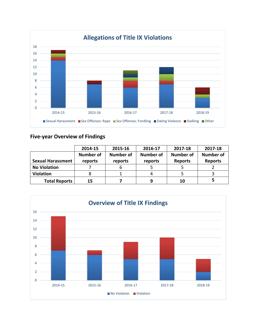

## **Five-year Overview of Findings**

|                          | 2014-15          | 2015-16   | 2016-17   | 2017-18          | 2017-18          |
|--------------------------|------------------|-----------|-----------|------------------|------------------|
|                          | <b>Number of</b> | Number of | Number of | <b>Number of</b> | <b>Number of</b> |
| <b>Sexual Harassment</b> | reports          | reports   | reports   | <b>Reports</b>   | <b>Reports</b>   |
| <b>No Violation</b>      |                  |           |           |                  |                  |
| <b>Violation</b>         | 8                |           | 4         |                  |                  |
| <b>Total Reports</b>     | 15               |           | 9         | 10               |                  |

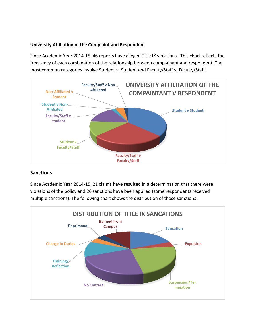#### **University Affiliation of the Complaint and Respondent**

Since Academic Year 2014-15, 46 reports have alleged Title IX violations. This chart reflects the frequency of each combination of the relationship between complainant and respondent. The most common categories involve Student v. Student and Faculty/Staff v. Faculty/Staff.



### **Sanctions**

Since Academic Year 2014-15, 21 claims have resulted in a determination that there were violations of the policy and 26 sanctions have been applied (some respondents received multiple sanctions). The following chart shows the distribution of those sanctions.